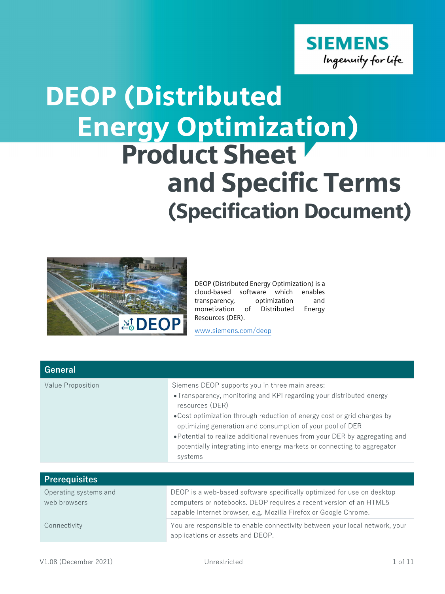

## Energy Optimization) Product Sheet and Specific Terms (Specification Document) DEOP (Distributed



DEOP (Distributed Energy Optimization) is a cloud-based software which enables transparency, optimization and monetization of Distributed Energy Resources (DER).

www.siemens.com/deop

| <b>General</b>    |                                                                                                                                                                                                                                                                                                                                                                                                                                                      |
|-------------------|------------------------------------------------------------------------------------------------------------------------------------------------------------------------------------------------------------------------------------------------------------------------------------------------------------------------------------------------------------------------------------------------------------------------------------------------------|
| Value Proposition | Siemens DEOP supports you in three main areas:<br>•Transparency, monitoring and KPI regarding your distributed energy<br>resources (DER)<br>• Cost optimization through reduction of energy cost or grid charges by<br>optimizing generation and consumption of your pool of DER<br>•Potential to realize additional revenues from your DER by aggregating and<br>potentially integrating into energy markets or connecting to aggregator<br>systems |

| <b>Prerequisites</b>                  |                                                                                                                                                                                                                  |
|---------------------------------------|------------------------------------------------------------------------------------------------------------------------------------------------------------------------------------------------------------------|
| Operating systems and<br>web browsers | DEOP is a web-based software specifically optimized for use on desktop<br>computers or notebooks. DEOP requires a recent version of an HTML5<br>capable Internet browser, e.g. Mozilla Firefox or Google Chrome. |
| Connectivity                          | You are responsible to enable connectivity between your local network, your<br>applications or assets and DEOP.                                                                                                  |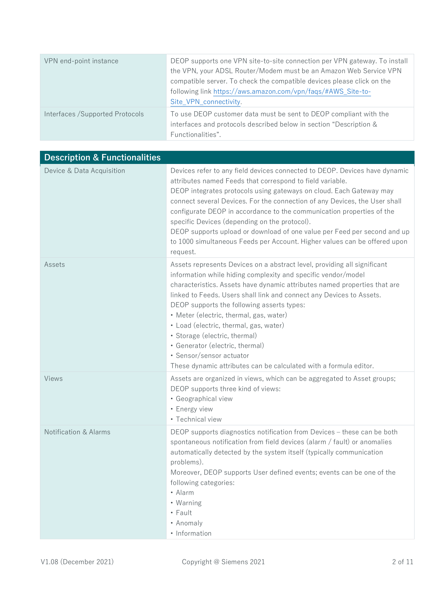| VPN end-point instance           | DEOP supports one VPN site-to-site connection per VPN gateway. To install<br>the VPN, your ADSL Router/Modem must be an Amazon Web Service VPN<br>compatible server. To check the compatible devices please click on the<br>following link https://aws.amazon.com/vpn/faqs/#AWS_Site-to-<br>Site_VPN_connectivity. |
|----------------------------------|--------------------------------------------------------------------------------------------------------------------------------------------------------------------------------------------------------------------------------------------------------------------------------------------------------------------|
| Interfaces / Supported Protocols | To use DEOP customer data must be sent to DEOP compliant with the<br>interfaces and protocols described below in section "Description &<br>Functionalities".                                                                                                                                                       |

| <b>Description &amp; Functionalities</b> |                                                                                                                                                                                                                                                                                                                                                                                                                                                                                                                                                                                                        |
|------------------------------------------|--------------------------------------------------------------------------------------------------------------------------------------------------------------------------------------------------------------------------------------------------------------------------------------------------------------------------------------------------------------------------------------------------------------------------------------------------------------------------------------------------------------------------------------------------------------------------------------------------------|
| Device & Data Acquisition                | Devices refer to any field devices connected to DEOP. Devices have dynamic<br>attributes named Feeds that correspond to field variable.<br>DEOP integrates protocols using gateways on cloud. Each Gateway may<br>connect several Devices. For the connection of any Devices, the User shall<br>configurate DEOP in accordance to the communication properties of the<br>specific Devices (depending on the protocol).<br>DEOP supports upload or download of one value per Feed per second and up<br>to 1000 simultaneous Feeds per Account. Higher values can be offered upon<br>request.            |
| Assets                                   | Assets represents Devices on a abstract level, providing all significant<br>information while hiding complexity and specific vendor/model<br>characteristics. Assets have dynamic attributes named properties that are<br>linked to Feeds. Users shall link and connect any Devices to Assets.<br>DEOP supports the following asserts types:<br>• Meter (electric, thermal, gas, water)<br>• Load (electric, thermal, gas, water)<br>· Storage (electric, thermal)<br>• Generator (electric, thermal)<br>• Sensor/sensor actuator<br>These dynamic attributes can be calculated with a formula editor. |
| Views                                    | Assets are organized in views, which can be aggregated to Asset groups;<br>DEOP supports three kind of views:<br>· Geographical view<br>• Energy view<br>• Technical view                                                                                                                                                                                                                                                                                                                                                                                                                              |
| <b>Notification &amp; Alarms</b>         | DEOP supports diagnostics notification from Devices - these can be both<br>spontaneous notification from field devices (alarm / fault) or anomalies<br>automatically detected by the system itself (typically communication<br>problems).<br>Moreover, DEOP supports User defined events; events can be one of the<br>following categories:<br>• Alarm<br>• Warning<br>$\cdot$ Fault<br>• Anomaly<br>• Information                                                                                                                                                                                     |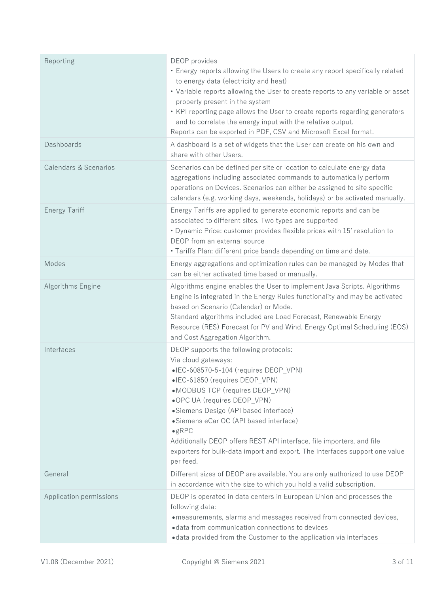| Reporting                        | DEOP provides<br>• Energy reports allowing the Users to create any report specifically related<br>to energy data (electricity and heat)<br>• Variable reports allowing the User to create reports to any variable or asset<br>property present in the system<br>• KPI reporting page allows the User to create reports regarding generators<br>and to correlate the energy input with the relative output.<br>Reports can be exported in PDF, CSV and Microsoft Excel format.          |
|----------------------------------|----------------------------------------------------------------------------------------------------------------------------------------------------------------------------------------------------------------------------------------------------------------------------------------------------------------------------------------------------------------------------------------------------------------------------------------------------------------------------------------|
| Dashboards                       | A dashboard is a set of widgets that the User can create on his own and<br>share with other Users.                                                                                                                                                                                                                                                                                                                                                                                     |
| <b>Calendars &amp; Scenarios</b> | Scenarios can be defined per site or location to calculate energy data<br>aggregations including associated commands to automatically perform<br>operations on Devices. Scenarios can either be assigned to site specific<br>calendars (e.g. working days, weekends, holidays) or be activated manually.                                                                                                                                                                               |
| <b>Energy Tariff</b>             | Energy Tariffs are applied to generate economic reports and can be<br>associated to different sites. Two types are supported<br>• Dynamic Price: customer provides flexible prices with 15' resolution to<br>DEOP from an external source<br>· Tariffs Plan: different price bands depending on time and date.                                                                                                                                                                         |
| Modes                            | Energy aggregations and optimization rules can be managed by Modes that<br>can be either activated time based or manually.                                                                                                                                                                                                                                                                                                                                                             |
| Algorithms Engine                | Algorithms engine enables the User to implement Java Scripts. Algorithms<br>Engine is integrated in the Energy Rules functionality and may be activated<br>based on Scenario (Calendar) or Mode.<br>Standard algorithms included are Load Forecast, Renewable Energy<br>Resource (RES) Forecast for PV and Wind, Energy Optimal Scheduling (EOS)<br>and Cost Aggregation Algorithm.                                                                                                    |
| Interfaces                       | DEOP supports the following protocols:<br>Via cloud gateways:<br>•IEC-608570-5-104 (requires DEOP_VPN)<br>•IEC-61850 (requires DEOP_VPN)<br>•MODBUS TCP (requires DEOP_VPN)<br>•OPC UA (requires DEOP_VPN)<br>• Siemens Desigo (API based interface)<br>• Siemens eCar OC (API based interface)<br>$\bullet$ gRPC<br>Additionally DEOP offers REST API interface, file importers, and file<br>exporters for bulk-data import and export. The interfaces support one value<br>per feed. |
| General                          | Different sizes of DEOP are available. You are only authorized to use DEOP<br>in accordance with the size to which you hold a valid subscription.                                                                                                                                                                                                                                                                                                                                      |
| Application permissions          | DEOP is operated in data centers in European Union and processes the<br>following data:<br>• measurements, alarms and messages received from connected devices,<br>• data from communication connections to devices<br>• data provided from the Customer to the application via interfaces                                                                                                                                                                                             |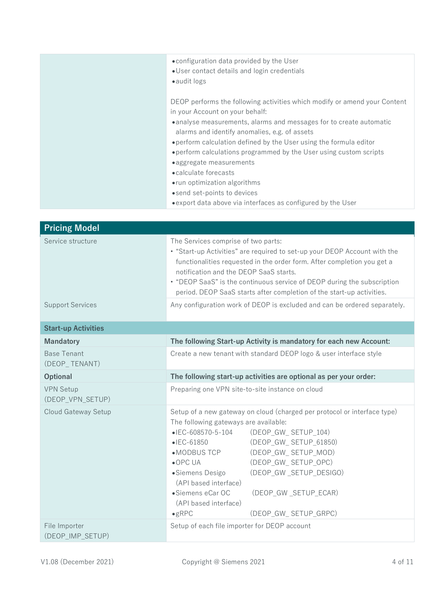| • configuration data provided by the User<br>• User contact details and login credentials<br>• audit logs                                                                                                                                                                                                                                                                                                                                                                                              |
|--------------------------------------------------------------------------------------------------------------------------------------------------------------------------------------------------------------------------------------------------------------------------------------------------------------------------------------------------------------------------------------------------------------------------------------------------------------------------------------------------------|
| DEOP performs the following activities which modify or amend your Content<br>in your Account on your behalf:<br>• analyse measurements, alarms and messages for to create automatic<br>alarms and identify anomalies, e.g. of assets<br>• perform calculation defined by the User using the formula editor<br>• perform calculations programmed by the User using custom scripts<br>• aggregate measurements<br>• calculate forecasts<br>• run optimization algorithms<br>• send set-points to devices |
| • export data above via interfaces as configured by the User                                                                                                                                                                                                                                                                                                                                                                                                                                           |

| <b>Pricing Model</b>                 |                                                                                                                                                                                                                                                                                                                                                                                                                                                                                                        |
|--------------------------------------|--------------------------------------------------------------------------------------------------------------------------------------------------------------------------------------------------------------------------------------------------------------------------------------------------------------------------------------------------------------------------------------------------------------------------------------------------------------------------------------------------------|
| Service structure                    | The Services comprise of two parts:<br>• "Start-up Activities" are required to set-up your DEOP Account with the<br>functionalities requested in the order form. After completion you get a<br>notification and the DEOP SaaS starts.<br>• "DEOP SaaS" is the continuous service of DEOP during the subscription<br>period. DEOP SaaS starts after completion of the start-up activities.                                                                                                              |
| <b>Support Services</b>              | Any configuration work of DEOP is excluded and can be ordered separately.                                                                                                                                                                                                                                                                                                                                                                                                                              |
| <b>Start-up Activities</b>           |                                                                                                                                                                                                                                                                                                                                                                                                                                                                                                        |
| <b>Mandatory</b>                     | The following Start-up Activity is mandatory for each new Account:                                                                                                                                                                                                                                                                                                                                                                                                                                     |
| <b>Base Tenant</b><br>(DEOP_TENANT)  | Create a new tenant with standard DEOP logo & user interface style                                                                                                                                                                                                                                                                                                                                                                                                                                     |
| Optional                             | The following start-up activities are optional as per your order:                                                                                                                                                                                                                                                                                                                                                                                                                                      |
| <b>VPN Setup</b><br>(DEOP VPN SETUP) | Preparing one VPN site-to-site instance on cloud                                                                                                                                                                                                                                                                                                                                                                                                                                                       |
| Cloud Gateway Setup                  | Setup of a new gateway on cloud (charged per protocol or interface type)<br>The following gateways are available:<br>$\bullet$ IEC-608570-5-104<br>(DEOP_GW_ SETUP_104)<br>$\bullet$ IEC-61850<br>(DEOP GW SETUP 61850)<br>(DEOP GW_SETUP_MOD)<br>$\bullet$ MODBUS TCP<br>$\bullet$ OPC UA<br>(DEOP GW SETUP OPC)<br>·Siemens Desigo<br>(DEOP_GW_SETUP_DESIGO)<br>(API based interface)<br>•Siemens eCar OC<br>(DEOP GW SETUP ECAR)<br>(API based interface)<br>$\bullet$ gRPC<br>(DEOP GW SETUP GRPC) |
| File Importer<br>(DEOP IMP SETUP)    | Setup of each file importer for DEOP account                                                                                                                                                                                                                                                                                                                                                                                                                                                           |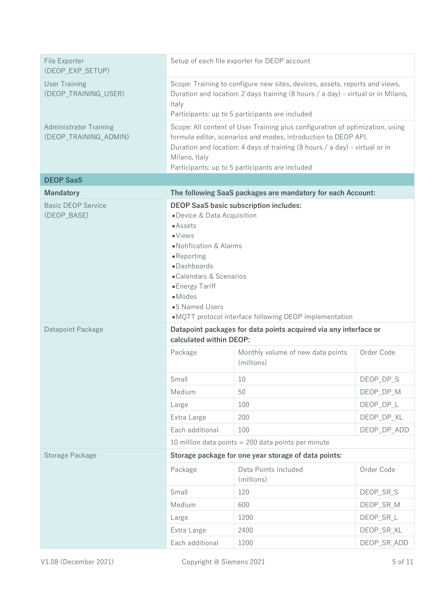| File Exporter<br>(DEOP_EXP_SETUP)                      | Setup of each file exporter for DEOP account                                                                                                                                                                                                                                                                            |                                                             |             |
|--------------------------------------------------------|-------------------------------------------------------------------------------------------------------------------------------------------------------------------------------------------------------------------------------------------------------------------------------------------------------------------------|-------------------------------------------------------------|-------------|
| <b>User Training</b><br>(DEOP_TRAINING_USER)           | Scope: Training to configure new sites, devices, assets, reports and views.<br>Duration and location: 2 days training (8 hours / a day) - virtual or in Milano,<br>Italy<br>Participants: up to 5 participants are included                                                                                             |                                                             |             |
| <b>Administrator Training</b><br>(DEOP_TRAINING_ADMIN) | Scope: All content of User Training plus configuration of optimization, using<br>formula editor, scenarios and modes, introduction to DEOP API.<br>Duration and location: 4 days of training (8 hours / a day) - virtual or in<br>Milano, Italy<br>Participants: up to 5 participants are included                      |                                                             |             |
| <b>DEOP SaaS</b>                                       |                                                                                                                                                                                                                                                                                                                         |                                                             |             |
| <b>Mandatory</b>                                       |                                                                                                                                                                                                                                                                                                                         | The following SaaS packages are mandatory for each Account: |             |
| <b>Basic DEOP Service</b><br>(DEOP_BASE)               | <b>DEOP SaaS basic subscription includes:</b><br>• Device & Data Acquisition<br>$\bullet$ Assets<br>$\bullet$ Views<br>• Notification & Alarms<br>•Reporting<br>·Dashboards<br>•Calendars & Scenarios<br>• Energy Tariff<br>$\bullet$ Modes<br>•5 Named Users<br>•MQTT protocol interface following DEOP implementation |                                                             |             |
| Datapoint Package                                      | Datapoint packages for data points acquired via any interface or<br>calculated within DEOP:                                                                                                                                                                                                                             |                                                             |             |
|                                                        | Package                                                                                                                                                                                                                                                                                                                 | Monthly volume of new data points<br>(millions)             | Order Code  |
|                                                        | Small                                                                                                                                                                                                                                                                                                                   | 10                                                          | DEOP DP S   |
|                                                        | Medium                                                                                                                                                                                                                                                                                                                  | 50                                                          | DEOP_DP_M   |
|                                                        | Large                                                                                                                                                                                                                                                                                                                   | 100                                                         | DEOP DP L   |
|                                                        | Extra Large                                                                                                                                                                                                                                                                                                             | 200                                                         | DEOP_DP_XL  |
|                                                        | Each additional                                                                                                                                                                                                                                                                                                         | 100                                                         | DEOP_DP_ADD |
|                                                        | 10 million data points $= 200$ data points per minute                                                                                                                                                                                                                                                                   |                                                             |             |
| Storage Package                                        | Storage package for one year storage of data points:                                                                                                                                                                                                                                                                    |                                                             |             |
|                                                        | Package                                                                                                                                                                                                                                                                                                                 | Data Points included<br>(millions)                          | Order Code  |
|                                                        | Small                                                                                                                                                                                                                                                                                                                   | 120                                                         | DEOP_SR_S   |
|                                                        | Medium                                                                                                                                                                                                                                                                                                                  | 600                                                         | DEOP_SR_M   |
|                                                        | Large                                                                                                                                                                                                                                                                                                                   | 1200                                                        | DEOP_SR_L   |
|                                                        | Extra Large                                                                                                                                                                                                                                                                                                             | 2400                                                        | DEOP_SR_XL  |
|                                                        | Each additional                                                                                                                                                                                                                                                                                                         | 1200                                                        | DEOP_SR_ADD |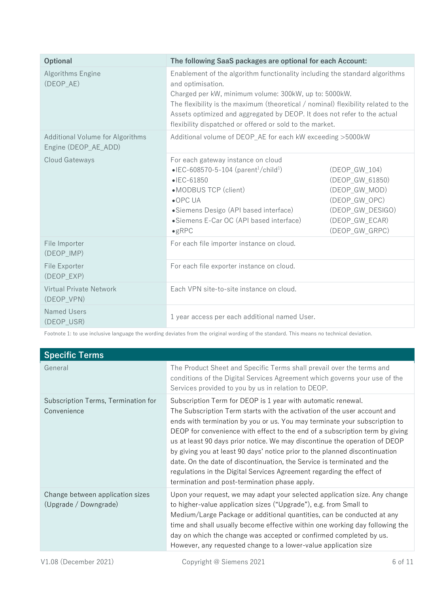| Optional                                                 | The following SaaS packages are optional for each Account:                                                                                                                                                                                                                                                                                                                             |                                                                                                                            |
|----------------------------------------------------------|----------------------------------------------------------------------------------------------------------------------------------------------------------------------------------------------------------------------------------------------------------------------------------------------------------------------------------------------------------------------------------------|----------------------------------------------------------------------------------------------------------------------------|
| Algorithms Engine<br>(DEOP AE)                           | Enablement of the algorithm functionality including the standard algorithms<br>and optimisation.<br>Charged per kW, minimum volume: 300kW, up to: 5000kW.<br>The flexibility is the maximum (theoretical / nominal) flexibility related to the<br>Assets optimized and aggregated by DEOP. It does not refer to the actual<br>flexibility dispatched or offered or sold to the market. |                                                                                                                            |
| Additional Volume for Algorithms<br>Engine (DEOP_AE_ADD) | Additional volume of DEOP_AE for each kW exceeding >5000kW                                                                                                                                                                                                                                                                                                                             |                                                                                                                            |
| Cloud Gateways                                           | For each gateway instance on cloud<br>• IEC-608570-5-104 (parent <sup>1</sup> /child <sup>1</sup> )<br>$\bullet$ IEC-61850<br>•MODBUS TCP (client)<br>$\bullet$ OPC UA<br>• Siemens Desigo (API based interface)<br>• Siemens E-Car OC (API based interface)<br>$\bullet$ gRPC                                                                                                         | (DEOP GW 104)<br>(DEOP_GW_61850)<br>(DEOP GW MOD)<br>(DEOP GW OPC)<br>(DEOP_GW_DESIGO)<br>(DEOP GW ECAR)<br>(DEOP GW GRPC) |
| File Importer<br>(DEOP IMP)                              | For each file importer instance on cloud.                                                                                                                                                                                                                                                                                                                                              |                                                                                                                            |
| File Exporter<br>(DEOP EXP)                              | For each file exporter instance on cloud.                                                                                                                                                                                                                                                                                                                                              |                                                                                                                            |
| <b>Virtual Private Network</b><br>(DEOP VPN)             | Each VPN site-to-site instance on cloud.                                                                                                                                                                                                                                                                                                                                               |                                                                                                                            |
| <b>Named Users</b><br>(DEOP USR)                         | 1 year access per each additional named User.                                                                                                                                                                                                                                                                                                                                          |                                                                                                                            |

Footnote 1: to use inclusive language the wording deviates from the original wording of the standard. This means no technical deviation.

| <b>Specific Terms</b>                                     |                                                                                                                                                                                                                                                                                                                                                                                                                                                                                                                                                                                                                                                                          |
|-----------------------------------------------------------|--------------------------------------------------------------------------------------------------------------------------------------------------------------------------------------------------------------------------------------------------------------------------------------------------------------------------------------------------------------------------------------------------------------------------------------------------------------------------------------------------------------------------------------------------------------------------------------------------------------------------------------------------------------------------|
| General                                                   | The Product Sheet and Specific Terms shall prevail over the terms and<br>conditions of the Digital Services Agreement which governs your use of the<br>Services provided to you by us in relation to DEOP.                                                                                                                                                                                                                                                                                                                                                                                                                                                               |
| Subscription Terms, Termination for<br>Convenience        | Subscription Term for DEOP is 1 year with automatic renewal.<br>The Subscription Term starts with the activation of the user account and<br>ends with termination by you or us. You may terminate your subscription to<br>DEOP for convenience with effect to the end of a subscription term by giving<br>us at least 90 days prior notice. We may discontinue the operation of DEOP<br>by giving you at least 90 days' notice prior to the planned discontinuation<br>date. On the date of discontinuation, the Service is terminated and the<br>regulations in the Digital Services Agreement regarding the effect of<br>termination and post-termination phase apply. |
| Change between application sizes<br>(Upgrade / Downgrade) | Upon your request, we may adapt your selected application size. Any change<br>to higher-value application sizes ("Upgrade"), e.g. from Small to<br>Medium/Large Package or additional quantities, can be conducted at any<br>time and shall usually become effective within one working day following the<br>day on which the change was accepted or confirmed completed by us.<br>However, any requested change to a lower-value application size                                                                                                                                                                                                                       |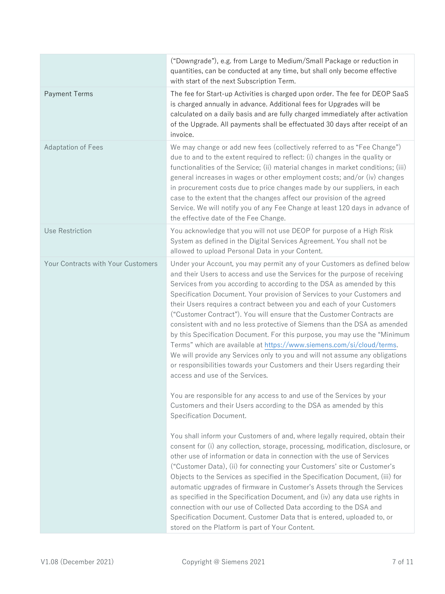|                                    | ("Downgrade"), e.g. from Large to Medium/Small Package or reduction in<br>quantities, can be conducted at any time, but shall only become effective<br>with start of the next Subscription Term.                                                                                                                                                                                                                                                                                                                                                                                                                                                                                                                                                                                                                                                                                                        |
|------------------------------------|---------------------------------------------------------------------------------------------------------------------------------------------------------------------------------------------------------------------------------------------------------------------------------------------------------------------------------------------------------------------------------------------------------------------------------------------------------------------------------------------------------------------------------------------------------------------------------------------------------------------------------------------------------------------------------------------------------------------------------------------------------------------------------------------------------------------------------------------------------------------------------------------------------|
| <b>Payment Terms</b>               | The fee for Start-up Activities is charged upon order. The fee for DEOP SaaS<br>is charged annually in advance. Additional fees for Upgrades will be<br>calculated on a daily basis and are fully charged immediately after activation<br>of the Upgrade. All payments shall be effectuated 30 days after receipt of an<br>invoice.                                                                                                                                                                                                                                                                                                                                                                                                                                                                                                                                                                     |
| <b>Adaptation of Fees</b>          | We may change or add new fees (collectively referred to as "Fee Change")<br>due to and to the extent required to reflect: (i) changes in the quality or<br>functionalities of the Service; (ii) material changes in market conditions; (iii)<br>general increases in wages or other employment costs; and/or (iv) changes<br>in procurement costs due to price changes made by our suppliers, in each<br>case to the extent that the changes affect our provision of the agreed<br>Service. We will notify you of any Fee Change at least 120 days in advance of<br>the effective date of the Fee Change.                                                                                                                                                                                                                                                                                               |
| Use Restriction                    | You acknowledge that you will not use DEOP for purpose of a High Risk<br>System as defined in the Digital Services Agreement. You shall not be<br>allowed to upload Personal Data in your Content.                                                                                                                                                                                                                                                                                                                                                                                                                                                                                                                                                                                                                                                                                                      |
| Your Contracts with Your Customers | Under your Account, you may permit any of your Customers as defined below<br>and their Users to access and use the Services for the purpose of receiving<br>Services from you according to according to the DSA as amended by this<br>Specification Document. Your provision of Services to your Customers and<br>their Users requires a contract between you and each of your Customers<br>("Customer Contract"). You will ensure that the Customer Contracts are<br>consistent with and no less protective of Siemens than the DSA as amended<br>by this Specification Document. For this purpose, you may use the "Minimum<br>Terms" which are available at https://www.siemens.com/si/cloud/terms.<br>We will provide any Services only to you and will not assume any obligations<br>or responsibilities towards your Customers and their Users regarding their<br>access and use of the Services. |
|                                    | You are responsible for any access to and use of the Services by your<br>Customers and their Users according to the DSA as amended by this<br>Specification Document.                                                                                                                                                                                                                                                                                                                                                                                                                                                                                                                                                                                                                                                                                                                                   |
|                                    | You shall inform your Customers of and, where legally required, obtain their<br>consent for (i) any collection, storage, processing, modification, disclosure, or<br>other use of information or data in connection with the use of Services<br>("Customer Data), (ii) for connecting your Customers' site or Customer's<br>Objects to the Services as specified in the Specification Document, (iii) for<br>automatic upgrades of firmware in Customer's Assets through the Services<br>as specified in the Specification Document, and (iv) any data use rights in<br>connection with our use of Collected Data according to the DSA and<br>Specification Document. Customer Data that is entered, uploaded to, or<br>stored on the Platform is part of Your Content.                                                                                                                                 |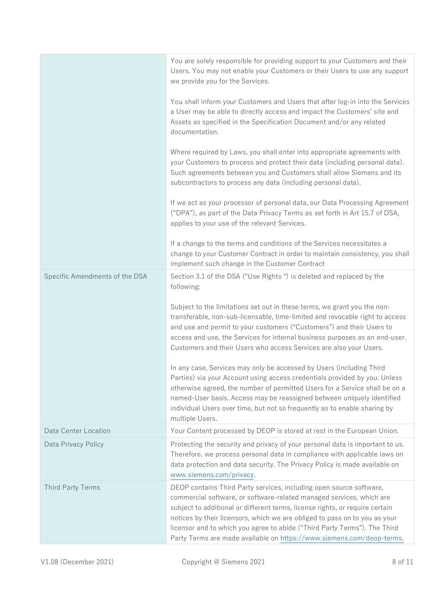|                                | You are solely responsible for providing support to your Customers and their<br>Users. You may not enable your Customers or their Users to use any support<br>we provide you for the Services.<br>You shall inform your Customers and Users that after log-in into the Services<br>a User may be able to directly access and impact the Customers' site and<br>Assets as specified in the Specification Document and/or any related                             |
|--------------------------------|-----------------------------------------------------------------------------------------------------------------------------------------------------------------------------------------------------------------------------------------------------------------------------------------------------------------------------------------------------------------------------------------------------------------------------------------------------------------|
|                                | documentation.<br>Where required by Laws, you shall enter into appropriate agreements with<br>your Customers to process and protect their data (including personal data).<br>Such agreements between you and Customers shall allow Siemens and its<br>subcontractors to process any data (including personal data).                                                                                                                                             |
|                                | If we act as your processor of personal data, our Data Processing Agreement<br>("DPA"), as part of the Data Privacy Terms as set forth in Art 15.7 of DSA,<br>applies to your use of the relevant Services.                                                                                                                                                                                                                                                     |
|                                | If a change to the terms and conditions of the Services necessitates a<br>change to your Customer Contract in order to maintain consistency, you shall<br>implement such change in the Customer Contract                                                                                                                                                                                                                                                        |
| Specific Amendments of the DSA | Section 3.1 of the DSA ("Use Rights") is deleted and replaced by the<br>following:                                                                                                                                                                                                                                                                                                                                                                              |
|                                | Subject to the limitations set out in these terms, we grant you the non-<br>transferable, non-sub-licensable, time-limited and revocable right to access<br>and use and permit to your customers ("Customers") and their Users to<br>access and use, the Services for internal business purposes as an end-user.<br>Customers and their Users who access Services are also your Users.                                                                          |
|                                | In any case, Services may only be accessed by Users (including Third<br>Parties) via your Account using access credentials provided by you. Unless<br>otherwise agreed, the number of permitted Users for a Service shall be on a<br>named-User basis. Access may be reassigned between uniquely identified<br>individual Users over time, but not so frequently as to enable sharing by<br>multiple Users.                                                     |
| Data Center Location           | Your Content processed by DEOP is stored at rest in the European Union.                                                                                                                                                                                                                                                                                                                                                                                         |
| Data Privacy Policy            | Protecting the security and privacy of your personal data is important to us.<br>Therefore, we process personal data in compliance with applicable laws on<br>data protection and data security. The Privacy Policy is made available on<br>www.siemens.com/privacy.                                                                                                                                                                                            |
| <b>Third Party Terms</b>       | DEOP contains Third Party services, including open source software,<br>commercial software, or software-related managed services, which are<br>subject to additional or different terms, license rights, or require certain<br>notices by their licensors, which we are obliged to pass on to you as your<br>licensor and to which you agree to abide ("Third Party Terms"). The Third<br>Party Terms are made available on https://www.siemens.com/deop-terms. |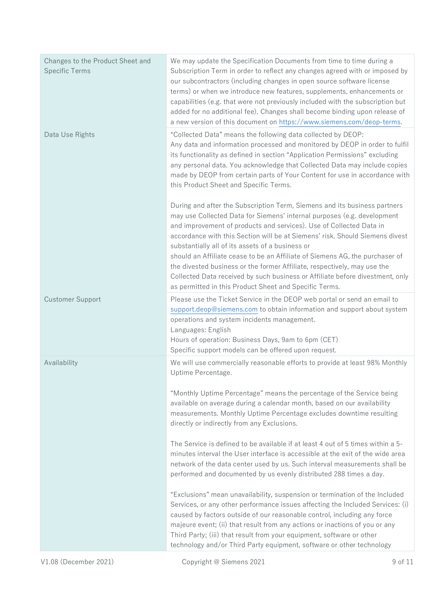| Changes to the Product Sheet and<br><b>Specific Terms</b> | We may update the Specification Documents from time to time during a<br>Subscription Term in order to reflect any changes agreed with or imposed by<br>our subcontractors (including changes in open source software license<br>terms) or when we introduce new features, supplements, enhancements or<br>capabilities (e.g. that were not previously included with the subscription but<br>added for no additional fee). Changes shall become binding upon release of<br>a new version of this document on https://www.siemens.com/deop-terms.                                                                                                                        |
|-----------------------------------------------------------|------------------------------------------------------------------------------------------------------------------------------------------------------------------------------------------------------------------------------------------------------------------------------------------------------------------------------------------------------------------------------------------------------------------------------------------------------------------------------------------------------------------------------------------------------------------------------------------------------------------------------------------------------------------------|
| Data Use Rights                                           | "Collected Data" means the following data collected by DEOP:<br>Any data and information processed and monitored by DEOP in order to fulfil<br>its functionality as defined in section "Application Permissions" excluding<br>any personal data. You acknowledge that Collected Data may include copies<br>made by DEOP from certain parts of Your Content for use in accordance with<br>this Product Sheet and Specific Terms.                                                                                                                                                                                                                                        |
|                                                           | During and after the Subscription Term, Siemens and its business partners<br>may use Collected Data for Siemens' internal purposes (e.g. development<br>and improvement of products and services). Use of Collected Data in<br>accordance with this Section will be at Siemens' risk. Should Siemens divest<br>substantially all of its assets of a business or<br>should an Affiliate cease to be an Affiliate of Siemens AG, the purchaser of<br>the divested business or the former Affiliate, respectively, may use the<br>Collected Data received by such business or Affiliate before divestment, only<br>as permitted in this Product Sheet and Specific Terms. |
| <b>Customer Support</b>                                   | Please use the Ticket Service in the DEOP web portal or send an email to<br>support.deop@siemens.com to obtain information and support about system<br>operations and system incidents management.<br>Languages: English<br>Hours of operation: Business Days, 9am to 6pm (CET)<br>Specific support models can be offered upon request.                                                                                                                                                                                                                                                                                                                                |
| Availability                                              | We will use commercially reasonable efforts to provide at least 98% Monthly<br>Uptime Percentage.<br>"Monthly Uptime Percentage" means the percentage of the Service being<br>available on average during a calendar month, based on our availability<br>measurements. Monthly Uptime Percentage excludes downtime resulting<br>directly or indirectly from any Exclusions.<br>The Service is defined to be available if at least 4 out of 5 times within a 5-                                                                                                                                                                                                         |
|                                                           | minutes interval the User interface is accessible at the exit of the wide area<br>network of the data center used by us. Such interval measurements shall be<br>performed and documented by us evenly distributed 288 times a day.                                                                                                                                                                                                                                                                                                                                                                                                                                     |
|                                                           | "Exclusions" mean unavailability, suspension or termination of the Included<br>Services, or any other performance issues affecting the Included Services: (i)<br>caused by factors outside of our reasonable control, including any force<br>majeure event; (ii) that result from any actions or inactions of you or any<br>Third Party; (iii) that result from your equipment, software or other<br>technology and/or Third Party equipment, software or other technology                                                                                                                                                                                             |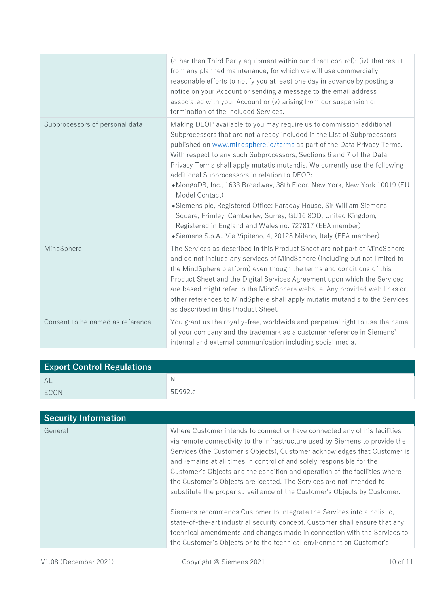|                                  | (other than Third Party equipment within our direct control); (iv) that result<br>from any planned maintenance, for which we will use commercially<br>reasonable efforts to notify you at least one day in advance by posting a<br>notice on your Account or sending a message to the email address<br>associated with your Account or $(v)$ arising from our suspension or<br>termination of the Included Services.                                                                                                                                                                                                                                                                                                                                                                                     |
|----------------------------------|----------------------------------------------------------------------------------------------------------------------------------------------------------------------------------------------------------------------------------------------------------------------------------------------------------------------------------------------------------------------------------------------------------------------------------------------------------------------------------------------------------------------------------------------------------------------------------------------------------------------------------------------------------------------------------------------------------------------------------------------------------------------------------------------------------|
| Subprocessors of personal data   | Making DEOP available to you may require us to commission additional<br>Subprocessors that are not already included in the List of Subprocessors<br>published on www.mindsphere.io/terms as part of the Data Privacy Terms.<br>With respect to any such Subprocessors, Sections 6 and 7 of the Data<br>Privacy Terms shall apply mutatis mutandis. We currently use the following<br>additional Subprocessors in relation to DEOP:<br>•MongoDB, Inc., 1633 Broadway, 38th Floor, New York, New York 10019 (EU<br>Model Contact)<br>•Siemens plc, Registered Office: Faraday House, Sir William Siemens<br>Square, Frimley, Camberley, Surrey, GU16 8QD, United Kingdom,<br>Registered in England and Wales no: 727817 (EEA member)<br>•Siemens S.p.A., Via Vipiteno, 4, 20128 Milano, Italy (EEA member) |
| MindSphere                       | The Services as described in this Product Sheet are not part of MindSphere<br>and do not include any services of MindSphere (including but not limited to<br>the MindSphere platform) even though the terms and conditions of this<br>Product Sheet and the Digital Services Agreement upon which the Services<br>are based might refer to the MindSphere website. Any provided web links or<br>other references to MindSphere shall apply mutatis mutandis to the Services<br>as described in this Product Sheet.                                                                                                                                                                                                                                                                                       |
| Consent to be named as reference | You grant us the royalty-free, worldwide and perpetual right to use the name<br>of your company and the trademark as a customer reference in Siemens'<br>internal and external communication including social media.                                                                                                                                                                                                                                                                                                                                                                                                                                                                                                                                                                                     |

| <b>Export Control Regulations</b> |         |
|-----------------------------------|---------|
| AL                                | N       |
| ECCN                              | 5D992.c |

| <b>Security Information</b> |                                                                                                                                                                                                                                                                                                                                                                                                                                                                                                                                                    |
|-----------------------------|----------------------------------------------------------------------------------------------------------------------------------------------------------------------------------------------------------------------------------------------------------------------------------------------------------------------------------------------------------------------------------------------------------------------------------------------------------------------------------------------------------------------------------------------------|
| General                     | Where Customer intends to connect or have connected any of his facilities<br>via remote connectivity to the infrastructure used by Siemens to provide the<br>Services (the Customer's Objects), Customer acknowledges that Customer is<br>and remains at all times in control of and solely responsible for the<br>Customer's Objects and the condition and operation of the facilities where<br>the Customer's Objects are located. The Services are not intended to<br>substitute the proper surveillance of the Customer's Objects by Customer. |
|                             | Siemens recommends Customer to integrate the Services into a holistic,<br>state-of-the-art industrial security concept. Customer shall ensure that any<br>technical amendments and changes made in connection with the Services to<br>the Customer's Objects or to the technical environment on Customer's                                                                                                                                                                                                                                         |